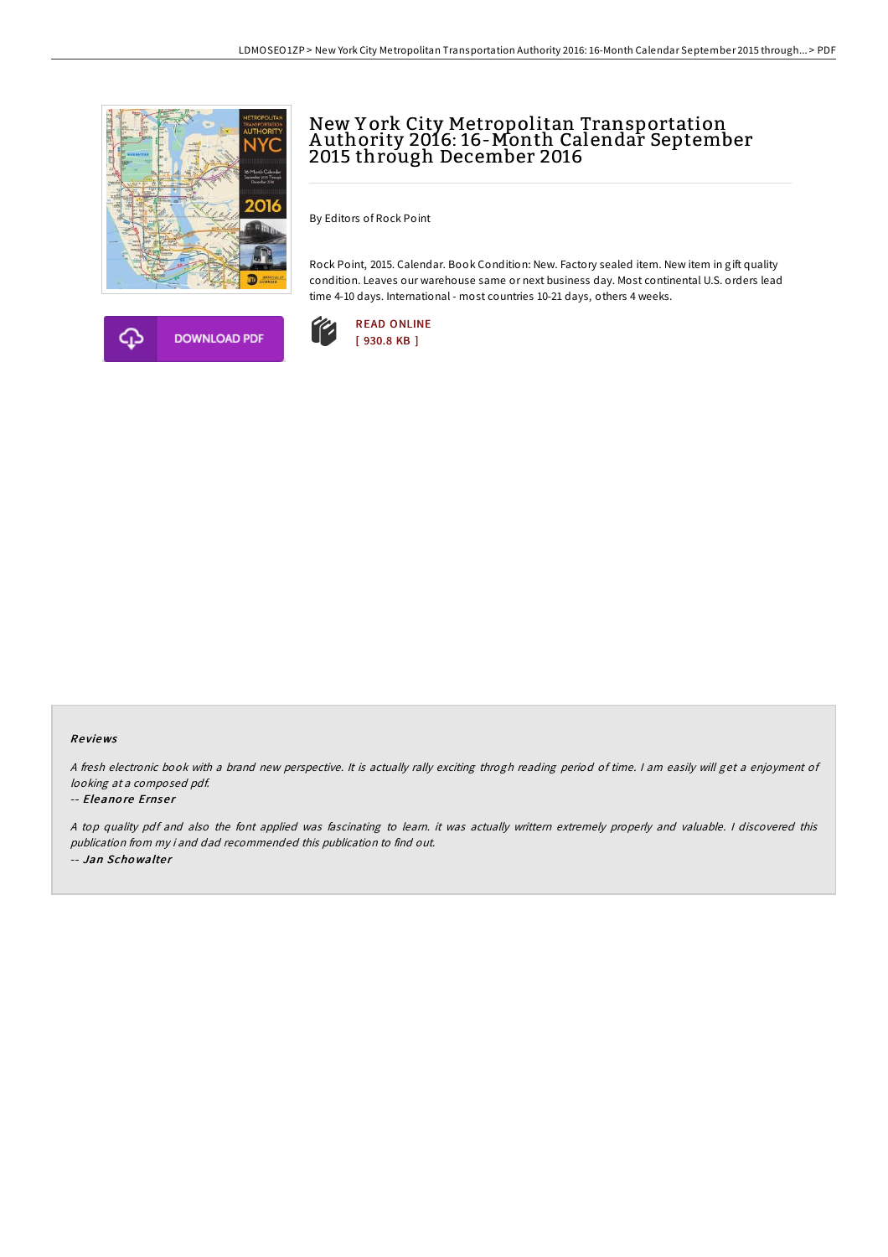

**DOWNLOAD PDF** 



By Editors of Rock Point

Rock Point, 2015. Calendar. Book Condition: New. Factory sealed item. New item in gift quality condition. Leaves our warehouse same or next business day. Most continental U.S. orders lead time 4-10 days. International - most countries 10-21 days, others 4 weeks.



## Re views

<sup>A</sup> fresh electronic book with <sup>a</sup> brand new perspective. It is actually rally exciting throgh reading period of time. <sup>I</sup> am easily will get <sup>a</sup> enjoyment of looking at <sup>a</sup> composed pdf.

## -- Eleanore Ernser

<sup>A</sup> top quality pdf and also the font applied was fascinating to learn. it was actually writtern extremely properly and valuable. <sup>I</sup> discovered this publication from my i and dad recommended this publication to find out. -- Jan Schowalter